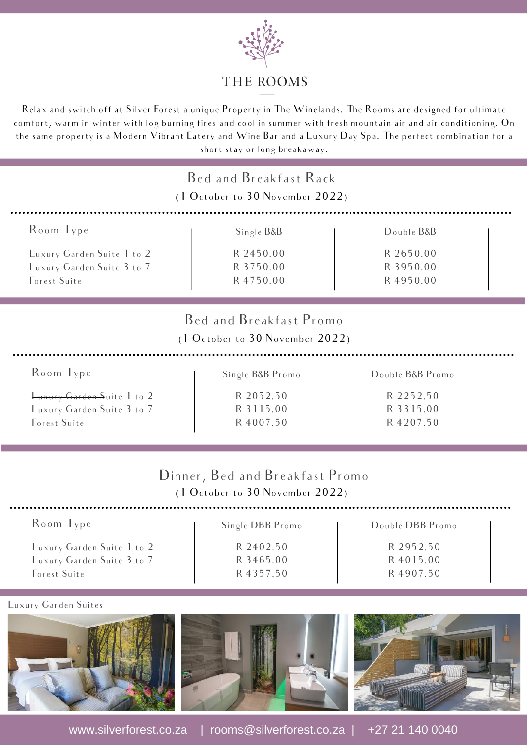

#### THE ROOMS

Relax and switch off at Silver Forest a unique Property in The Winelands. The Rooms are designed for ultimate comfort, warm in winter with log burning fires and cool in summer with fresh mountain air and air conditioning. On the same property is a Modern Vibrant Eatery and Wine Bar and a Luxury Day Spa. The perfect combination for a short stay or long breakaway.

| Bed and Breakfast Rack<br>(1 October to 30 November 2022)                                                                                                                                                                                                                 |                                                   |                                                  |  |  |
|---------------------------------------------------------------------------------------------------------------------------------------------------------------------------------------------------------------------------------------------------------------------------|---------------------------------------------------|--------------------------------------------------|--|--|
| Room Type<br>Luxury Garden Suite 1 to 2<br>Luxury Garden Suite 3 to 7<br>Forest Suite                                                                                                                                                                                     | Single B&B<br>R 2450.00<br>R 3750.00<br>R 4750.00 | Double B&B<br>R 2650.00<br>R 3950.00<br>R4950.00 |  |  |
| Bed and Breakfast Promo<br>(1 October to 30 November 2022)<br>Room Type<br>Double B&B Promo<br>Single B&B Promo<br>R 2052.50<br>Luxury Garden Suite 1 to 2<br>R 2252.50<br>Luxury Garden Suite 3 to 7<br>R 3115.00<br>R 3315.00<br>Forest Suite<br>R 4007.50<br>R 4207.50 |                                                   |                                                  |  |  |
| Dinner, Bed and Breakfast Promo<br>(1 October to 30 November 2022)<br>Room Type<br>Double DBB Promo<br>Single DBB Promo                                                                                                                                                   |                                                   |                                                  |  |  |

Luxury Garden Suite 1 to 2 Luxury Garden Suite 3 to 7 Forest Suite

#### Luxury Garden Suites





R 2402.50 R 3465.00 R 4357.50



www.silverforest.co.za | rooms@silverforest.co.za | +27 21 140 0040

R 2952.50 R 4015.00 R 4907.50